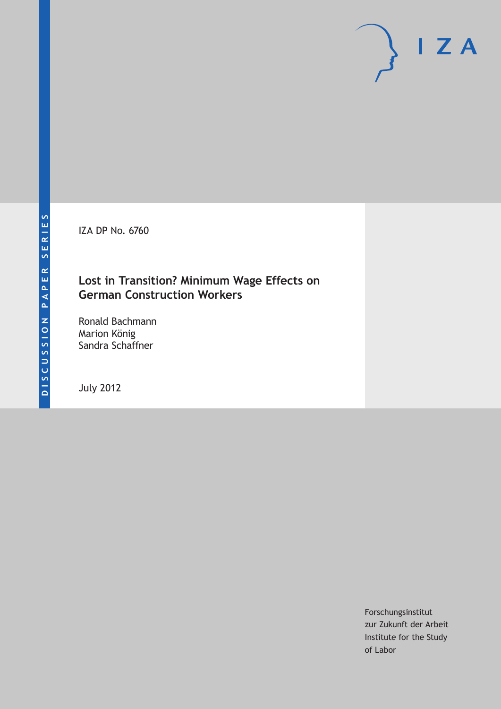IZA DP No. 6760

## **Lost in Transition? Minimum Wage Effects on German Construction Workers**

Ronald Bachmann Marion König Sandra Schaffner

July 2012

Forschungsinstitut zur Zukunft der Arbeit Institute for the Study of Labor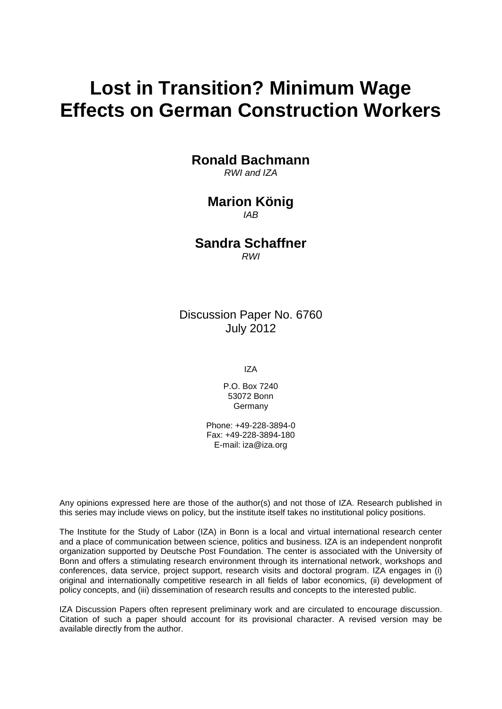# **Lost in Transition? Minimum Wage Effects on German Construction Workers**

## **Ronald Bachmann**

*RWI and IZA*

### **Marion König** *IAB*

## **Sandra Schaffner** *RWI*

Discussion Paper No. 6760 July 2012

IZA

P.O. Box 7240 53072 Bonn Germany

Phone: +49-228-3894-0 Fax: +49-228-3894-180 E-mail: [iza@iza.org](mailto:iza@iza.org)

Any opinions expressed here are those of the author(s) and not those of IZA. Research published in this series may include views on policy, but the institute itself takes no institutional policy positions.

The Institute for the Study of Labor (IZA) in Bonn is a local and virtual international research center and a place of communication between science, politics and business. IZA is an independent nonprofit organization supported by Deutsche Post Foundation. The center is associated with the University of Bonn and offers a stimulating research environment through its international network, workshops and conferences, data service, project support, research visits and doctoral program. IZA engages in (i) original and internationally competitive research in all fields of labor economics, (ii) development of policy concepts, and (iii) dissemination of research results and concepts to the interested public.

<span id="page-1-0"></span>IZA Discussion Papers often represent preliminary work and are circulated to encourage discussion. Citation of such a paper should account for its provisional character. A revised version may be available directly from the author.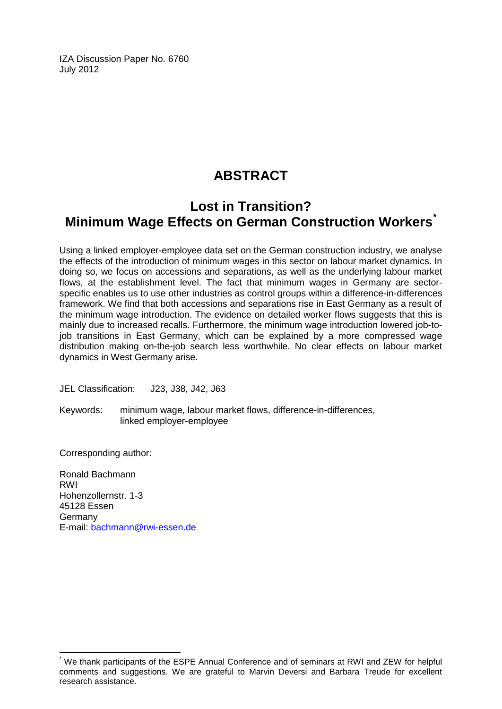IZA Discussion Paper No. 6760 July 2012

## **ABSTRACT**

## **Lost in Transition? Minimum Wage Effects on German Construction Workers[\\*](#page-1-0)**

Using a linked employer-employee data set on the German construction industry, we analyse the effects of the introduction of minimum wages in this sector on labour market dynamics. In doing so, we focus on accessions and separations, as well as the underlying labour market flows, at the establishment level. The fact that minimum wages in Germany are sectorspecific enables us to use other industries as control groups within a difference-in-differences framework. We find that both accessions and separations rise in East Germany as a result of the minimum wage introduction. The evidence on detailed worker flows suggests that this is mainly due to increased recalls. Furthermore, the minimum wage introduction lowered job-tojob transitions in East Germany, which can be explained by a more compressed wage distribution making on-the-job search less worthwhile. No clear effects on labour market dynamics in West Germany arise.

JEL Classification: J23, J38, J42, J63

Keywords: minimum wage, labour market flows, difference-in-differences, linked employer-employee

Corresponding author:

Ronald Bachmann RWI Hohenzollernstr. 1-3 45128 Essen Germany E-mail: [bachmann@rwi-essen.de](mailto:bachmann@rwi-essen.de)

We thank participants of the ESPE Annual Conference and of seminars at RWI and ZEW for helpful comments and suggestions. We are grateful to Marvin Deversi and Barbara Treude for excellent research assistance.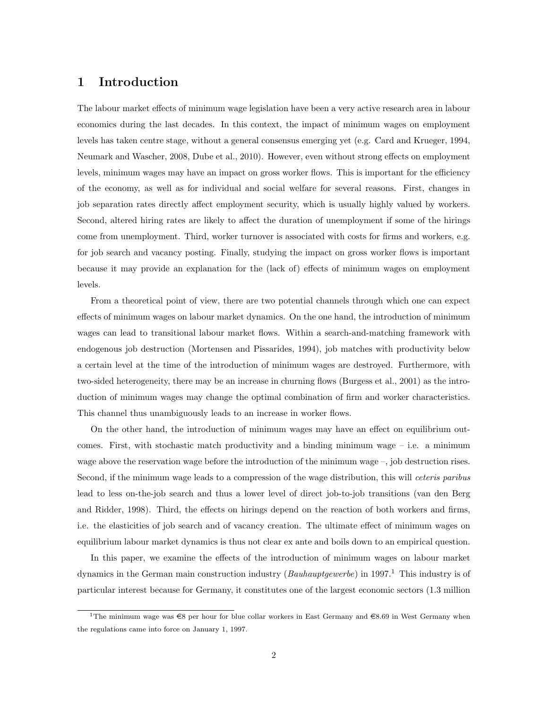## 1 Introduction

The labour market effects of minimum wage legislation have been a very active research area in labour economics during the last decades. In this context, the impact of minimum wages on employment levels has taken centre stage, without a general consensus emerging yet (e.g. Card and Krueger, 1994, Neumark and Wascher, 2008, Dube et al., 2010). However, even without strong effects on employment levels, minimum wages may have an impact on gross worker flows. This is important for the efficiency of the economy, as well as for individual and social welfare for several reasons. First, changes in job separation rates directly affect employment security, which is usually highly valued by workers. Second, altered hiring rates are likely to affect the duration of unemployment if some of the hirings come from unemployment. Third, worker turnover is associated with costs for firms and workers, e.g. for job search and vacancy posting. Finally, studying the impact on gross worker flows is important because it may provide an explanation for the (lack of) effects of minimum wages on employment levels.

From a theoretical point of view, there are two potential channels through which one can expect effects of minimum wages on labour market dynamics. On the one hand, the introduction of minimum wages can lead to transitional labour market flows. Within a search-and-matching framework with endogenous job destruction (Mortensen and Pissarides, 1994), job matches with productivity below a certain level at the time of the introduction of minimum wages are destroyed. Furthermore, with two-sided heterogeneity, there may be an increase in churning flows (Burgess et al., 2001) as the introduction of minimum wages may change the optimal combination of firm and worker characteristics. This channel thus unambiguously leads to an increase in worker flows.

On the other hand, the introduction of minimum wages may have an effect on equilibrium outcomes. First, with stochastic match productivity and a binding minimum wage  $-$  i.e. a minimum wage above the reservation wage before the introduction of the minimum wage –, job destruction rises. Second, if the minimum wage leads to a compression of the wage distribution, this will *ceteris paribus* lead to less on-the-job search and thus a lower level of direct job-to-job transitions (van den Berg and Ridder, 1998). Third, the effects on hirings depend on the reaction of both workers and firms, i.e. the elasticities of job search and of vacancy creation. The ultimate effect of minimum wages on equilibrium labour market dynamics is thus not clear ex ante and boils down to an empirical question.

In this paper, we examine the effects of the introduction of minimum wages on labour market dynamics in the German main construction industry ( $Bauhauptgewerbe$ ) in 1997.<sup>1</sup> This industry is of particular interest because for Germany, it constitutes one of the largest economic sectors (1.3 million

<sup>&</sup>lt;sup>1</sup>The minimum wage was  $\epsilon$ 8 per hour for blue collar workers in East Germany and  $\epsilon$ 8.69 in West Germany when the regulations came into force on January 1, 1997.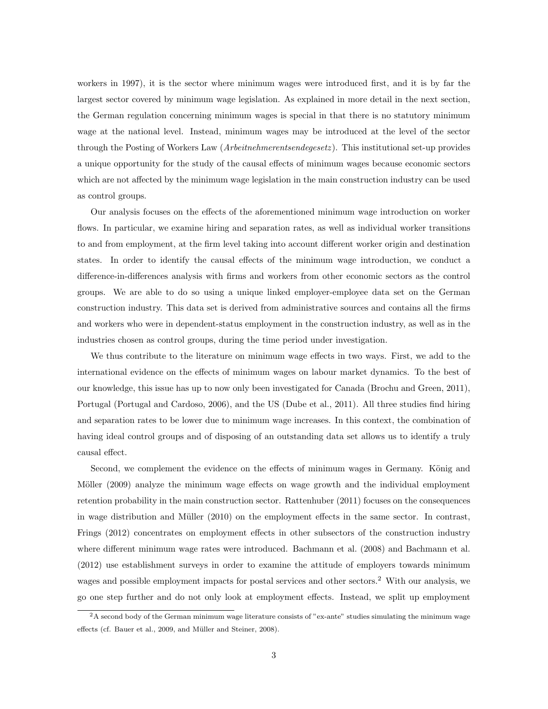workers in 1997), it is the sector where minimum wages were introduced first, and it is by far the largest sector covered by minimum wage legislation. As explained in more detail in the next section, the German regulation concerning minimum wages is special in that there is no statutory minimum wage at the national level. Instead, minimum wages may be introduced at the level of the sector through the Posting of Workers Law (Arbeitnehmerentsendegesetz ). This institutional set-up provides a unique opportunity for the study of the causal effects of minimum wages because economic sectors which are not affected by the minimum wage legislation in the main construction industry can be used as control groups.

Our analysis focuses on the effects of the aforementioned minimum wage introduction on worker flows. In particular, we examine hiring and separation rates, as well as individual worker transitions to and from employment, at the firm level taking into account different worker origin and destination states. In order to identify the causal effects of the minimum wage introduction, we conduct a difference-in-differences analysis with firms and workers from other economic sectors as the control groups. We are able to do so using a unique linked employer-employee data set on the German construction industry. This data set is derived from administrative sources and contains all the firms and workers who were in dependent-status employment in the construction industry, as well as in the industries chosen as control groups, during the time period under investigation.

We thus contribute to the literature on minimum wage effects in two ways. First, we add to the international evidence on the effects of minimum wages on labour market dynamics. To the best of our knowledge, this issue has up to now only been investigated for Canada (Brochu and Green, 2011), Portugal (Portugal and Cardoso, 2006), and the US (Dube et al., 2011). All three studies find hiring and separation rates to be lower due to minimum wage increases. In this context, the combination of having ideal control groups and of disposing of an outstanding data set allows us to identify a truly causal effect.

Second, we complement the evidence on the effects of minimum wages in Germany. König and Möller (2009) analyze the minimum wage effects on wage growth and the individual employment retention probability in the main construction sector. Rattenhuber (2011) focuses on the consequences in wage distribution and Müller (2010) on the employment effects in the same sector. In contrast, Frings (2012) concentrates on employment effects in other subsectors of the construction industry where different minimum wage rates were introduced. Bachmann et al. (2008) and Bachmann et al. (2012) use establishment surveys in order to examine the attitude of employers towards minimum wages and possible employment impacts for postal services and other sectors.<sup>2</sup> With our analysis, we go one step further and do not only look at employment effects. Instead, we split up employment

<sup>&</sup>lt;sup>2</sup>A second body of the German minimum wage literature consists of "ex-ante" studies simulating the minimum wage effects (cf. Bauer et al., 2009, and Müller and Steiner, 2008).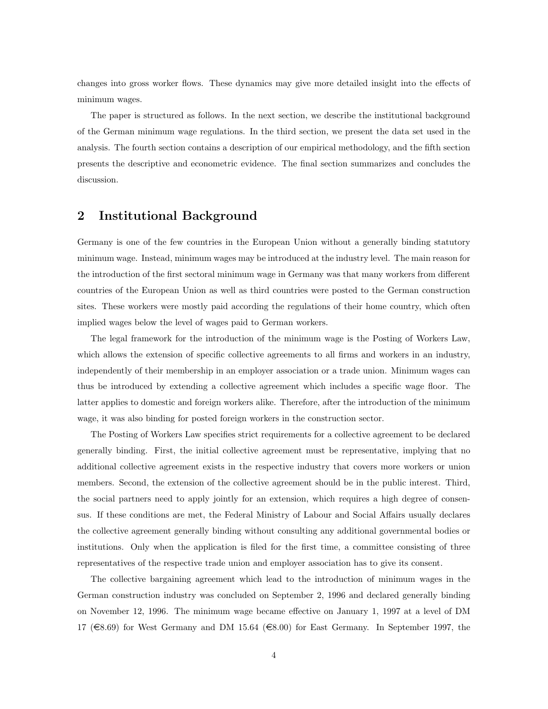changes into gross worker flows. These dynamics may give more detailed insight into the effects of minimum wages.

The paper is structured as follows. In the next section, we describe the institutional background of the German minimum wage regulations. In the third section, we present the data set used in the analysis. The fourth section contains a description of our empirical methodology, and the fifth section presents the descriptive and econometric evidence. The final section summarizes and concludes the discussion.

## 2 Institutional Background

Germany is one of the few countries in the European Union without a generally binding statutory minimum wage. Instead, minimum wages may be introduced at the industry level. The main reason for the introduction of the first sectoral minimum wage in Germany was that many workers from different countries of the European Union as well as third countries were posted to the German construction sites. These workers were mostly paid according the regulations of their home country, which often implied wages below the level of wages paid to German workers.

The legal framework for the introduction of the minimum wage is the Posting of Workers Law, which allows the extension of specific collective agreements to all firms and workers in an industry, independently of their membership in an employer association or a trade union. Minimum wages can thus be introduced by extending a collective agreement which includes a specific wage floor. The latter applies to domestic and foreign workers alike. Therefore, after the introduction of the minimum wage, it was also binding for posted foreign workers in the construction sector.

The Posting of Workers Law specifies strict requirements for a collective agreement to be declared generally binding. First, the initial collective agreement must be representative, implying that no additional collective agreement exists in the respective industry that covers more workers or union members. Second, the extension of the collective agreement should be in the public interest. Third, the social partners need to apply jointly for an extension, which requires a high degree of consensus. If these conditions are met, the Federal Ministry of Labour and Social Affairs usually declares the collective agreement generally binding without consulting any additional governmental bodies or institutions. Only when the application is filed for the first time, a committee consisting of three representatives of the respective trade union and employer association has to give its consent.

The collective bargaining agreement which lead to the introduction of minimum wages in the German construction industry was concluded on September 2, 1996 and declared generally binding on November 12, 1996. The minimum wage became effective on January 1, 1997 at a level of DM 17 ( $\text{\textsterling}8.69$ ) for West Germany and DM 15.64 ( $\text{\textsterling}8.00$ ) for East Germany. In September 1997, the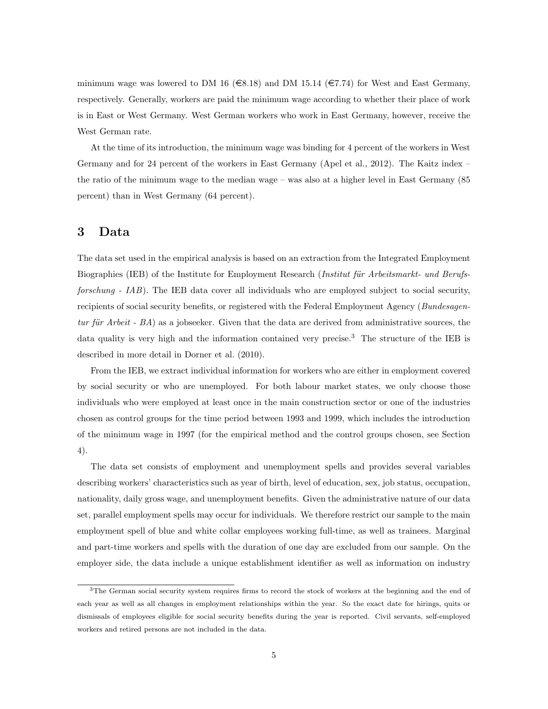minimum wage was lowered to DM 16 ( $\in$ 8.18) and DM 15.14 ( $\in$ 7.74) for West and East Germany, respectively. Generally, workers are paid the minimum wage according to whether their place of work is in East or West Germany. West German workers who work in East Germany, however, receive the West German rate.

At the time of its introduction, the minimum wage was binding for 4 percent of the workers in West Germany and for 24 percent of the workers in East Germany (Apel et al., 2012). The Kaitz index – the ratio of the minimum wage to the median wage – was also at a higher level in East Germany (85 percent) than in West Germany (64 percent).

## 3 Data

The data set used in the empirical analysis is based on an extraction from the Integrated Employment Biographies (IEB) of the Institute for Employment Research (Institut für Arbeitsmarkt- und Berufsforschung - IAB). The IEB data cover all individuals who are employed subject to social security, recipients of social security benefits, or registered with the Federal Employment Agency (Bundesagentur für Arbeit -  $BA$ ) as a jobseeker. Given that the data are derived from administrative sources, the data quality is very high and the information contained very precise.<sup>3</sup> The structure of the IEB is described in more detail in Dorner et al. (2010).

From the IEB, we extract individual information for workers who are either in employment covered by social security or who are unemployed. For both labour market states, we only choose those individuals who were employed at least once in the main construction sector or one of the industries chosen as control groups for the time period between 1993 and 1999, which includes the introduction of the minimum wage in 1997 (for the empirical method and the control groups chosen, see Section 4).

The data set consists of employment and unemployment spells and provides several variables describing workers' characteristics such as year of birth, level of education, sex, job status, occupation, nationality, daily gross wage, and unemployment benefits. Given the administrative nature of our data set, parallel employment spells may occur for individuals. We therefore restrict our sample to the main employment spell of blue and white collar employees working full-time, as well as trainees. Marginal and part-time workers and spells with the duration of one day are excluded from our sample. On the employer side, the data include a unique establishment identifier as well as information on industry

<sup>&</sup>lt;sup>3</sup>The German social security system requires firms to record the stock of workers at the beginning and the end of each year as well as all changes in employment relationships within the year. So the exact date for hirings, quits or dismissals of employees eligible for social security benefits during the year is reported. Civil servants, self-employed workers and retired persons are not included in the data.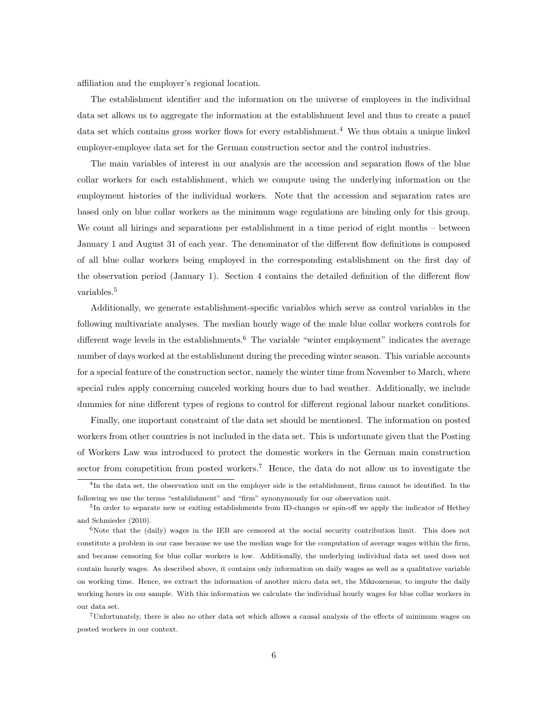affiliation and the employer's regional location.

The establishment identifier and the information on the universe of employees in the individual data set allows us to aggregate the information at the establishment level and thus to create a panel data set which contains gross worker flows for every establishment.<sup>4</sup> We thus obtain a unique linked employer-employee data set for the German construction sector and the control industries.

The main variables of interest in our analysis are the accession and separation flows of the blue collar workers for each establishment, which we compute using the underlying information on the employment histories of the individual workers. Note that the accession and separation rates are based only on blue collar workers as the minimum wage regulations are binding only for this group. We count all hirings and separations per establishment in a time period of eight months – between January 1 and August 31 of each year. The denominator of the different flow definitions is composed of all blue collar workers being employed in the corresponding establishment on the first day of the observation period (January 1). Section 4 contains the detailed definition of the different flow variables.<sup>5</sup>

Additionally, we generate establishment-specific variables which serve as control variables in the following multivariate analyses. The median hourly wage of the male blue collar workers controls for different wage levels in the establishments.<sup>6</sup> The variable "winter employment" indicates the average number of days worked at the establishment during the preceding winter season. This variable accounts for a special feature of the construction sector, namely the winter time from November to March, where special rules apply concerning canceled working hours due to bad weather. Additionally, we include dummies for nine different types of regions to control for different regional labour market conditions.

Finally, one important constraint of the data set should be mentioned. The information on posted workers from other countries is not included in the data set. This is unfortunate given that the Posting of Workers Law was introduced to protect the domestic workers in the German main construction sector from competition from posted workers.<sup>7</sup> Hence, the data do not allow us to investigate the

<sup>4</sup> In the data set, the observation unit on the employer side is the establishment, firms cannot be identified. In the following we use the terms "establishment" and "firm" synonymously for our observation unit.

<sup>&</sup>lt;sup>5</sup>In order to separate new or exiting establishments from ID-changes or spin-off we apply the indicator of Hethey and Schmieder (2010).

<sup>&</sup>lt;sup>6</sup>Note that the (daily) wages in the IEB are censored at the social security contribution limit. This does not constitute a problem in our case because we use the median wage for the computation of average wages within the firm, and because censoring for blue collar workers is low. Additionally, the underlying individual data set used does not contain hourly wages. As described above, it contains only information on daily wages as well as a qualitative variable on working time. Hence, we extract the information of another micro data set, the Mikrozensus, to impute the daily working hours in our sample. With this information we calculate the individual hourly wages for blue collar workers in our data set.

<sup>7</sup>Unfortunately, there is also no other data set which allows a causal analysis of the effects of minimum wages on posted workers in our context.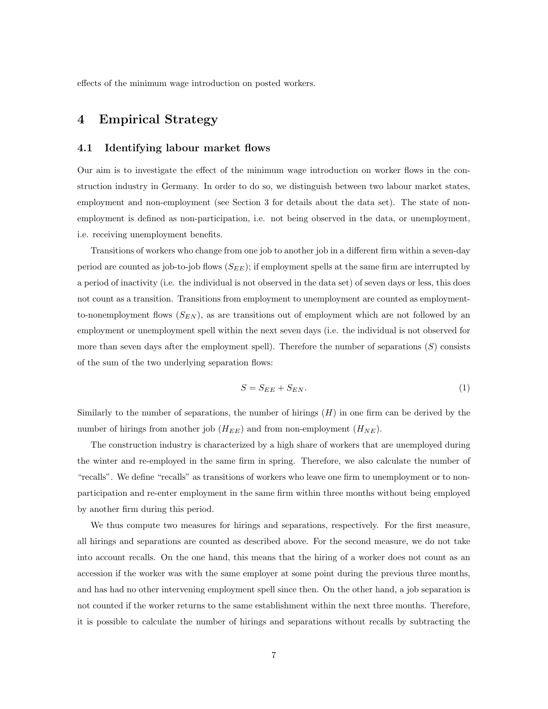effects of the minimum wage introduction on posted workers.

## 4 Empirical Strategy

#### 4.1 Identifying labour market flows

Our aim is to investigate the effect of the minimum wage introduction on worker flows in the construction industry in Germany. In order to do so, we distinguish between two labour market states, employment and non-employment (see Section 3 for details about the data set). The state of nonemployment is defined as non-participation, i.e. not being observed in the data, or unemployment, i.e. receiving unemployment benefits.

Transitions of workers who change from one job to another job in a different firm within a seven-day period are counted as job-to-job flows  $(S_{EE})$ ; if employment spells at the same firm are interrupted by a period of inactivity (i.e. the individual is not observed in the data set) of seven days or less, this does not count as a transition. Transitions from employment to unemployment are counted as employmentto-nonemployment flows  $(S_{EN})$ , as are transitions out of employment which are not followed by an employment or unemployment spell within the next seven days (i.e. the individual is not observed for more than seven days after the employment spell). Therefore the number of separations  $(S)$  consists of the sum of the two underlying separation flows:

$$
S = S_{EE} + S_{EN}.\tag{1}
$$

Similarly to the number of separations, the number of hirings  $(H)$  in one firm can be derived by the number of hirings from another job  $(H_{EE})$  and from non-employment  $(H_{NE})$ .

The construction industry is characterized by a high share of workers that are unemployed during the winter and re-employed in the same firm in spring. Therefore, we also calculate the number of "recalls". We define "recalls" as transitions of workers who leave one firm to unemployment or to nonparticipation and re-enter employment in the same firm within three months without being employed by another firm during this period.

We thus compute two measures for hirings and separations, respectively. For the first measure, all hirings and separations are counted as described above. For the second measure, we do not take into account recalls. On the one hand, this means that the hiring of a worker does not count as an accession if the worker was with the same employer at some point during the previous three months, and has had no other intervening employment spell since then. On the other hand, a job separation is not counted if the worker returns to the same establishment within the next three months. Therefore, it is possible to calculate the number of hirings and separations without recalls by subtracting the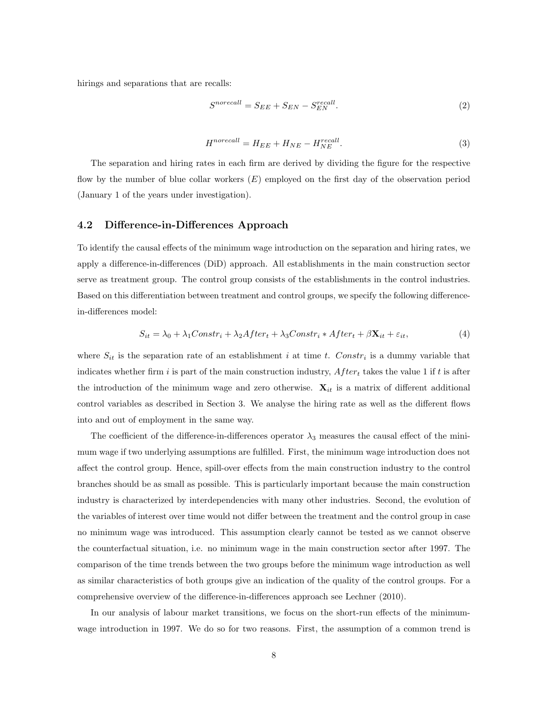hirings and separations that are recalls:

$$
S^{norecall} = S_{EE} + S_{EN} - S_{EN}^{recall}.
$$
\n<sup>(2)</sup>

$$
H^{norecall} = H_{EE} + H_{NE} - H_{NE}^{recall}.
$$
\n(3)

The separation and hiring rates in each firm are derived by dividing the figure for the respective flow by the number of blue collar workers  $(E)$  employed on the first day of the observation period (January 1 of the years under investigation).

#### 4.2 Difference-in-Differences Approach

To identify the causal effects of the minimum wage introduction on the separation and hiring rates, we apply a difference-in-differences (DiD) approach. All establishments in the main construction sector serve as treatment group. The control group consists of the establishments in the control industries. Based on this differentiation between treatment and control groups, we specify the following differencein-differences model:

$$
S_{it} = \lambda_0 + \lambda_1 Constr_i + \lambda_2 After_t + \lambda_3 Constr_i * After_t + \beta \mathbf{X}_{it} + \varepsilon_{it},\tag{4}
$$

where  $S_{it}$  is the separation rate of an establishment i at time t. Constr<sub>i</sub> is a dummy variable that indicates whether firm i is part of the main construction industry,  $After<sub>t</sub>$  takes the value 1 if t is after the introduction of the minimum wage and zero otherwise.  $\mathbf{X}_{it}$  is a matrix of different additional control variables as described in Section 3. We analyse the hiring rate as well as the different flows into and out of employment in the same way.

The coefficient of the difference-in-differences operator  $\lambda_3$  measures the causal effect of the minimum wage if two underlying assumptions are fulfilled. First, the minimum wage introduction does not affect the control group. Hence, spill-over effects from the main construction industry to the control branches should be as small as possible. This is particularly important because the main construction industry is characterized by interdependencies with many other industries. Second, the evolution of the variables of interest over time would not differ between the treatment and the control group in case no minimum wage was introduced. This assumption clearly cannot be tested as we cannot observe the counterfactual situation, i.e. no minimum wage in the main construction sector after 1997. The comparison of the time trends between the two groups before the minimum wage introduction as well as similar characteristics of both groups give an indication of the quality of the control groups. For a comprehensive overview of the difference-in-differences approach see Lechner (2010).

In our analysis of labour market transitions, we focus on the short-run effects of the minimumwage introduction in 1997. We do so for two reasons. First, the assumption of a common trend is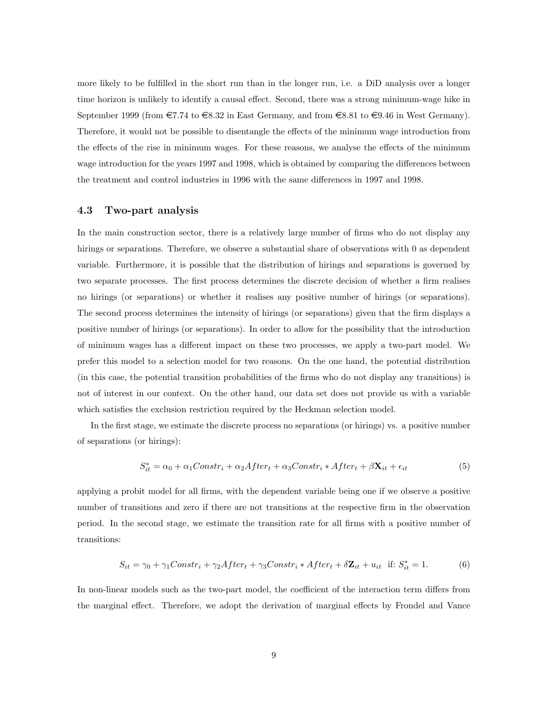more likely to be fulfilled in the short run than in the longer run, i.e. a DiD analysis over a longer time horizon is unlikely to identify a causal effect. Second, there was a strong minimum-wage hike in September 1999 (from  $\epsilon$ 7.74 to  $\epsilon$ 8.32 in East Germany, and from  $\epsilon$ 8.81 to  $\epsilon$ 9.46 in West Germany). Therefore, it would not be possible to disentangle the effects of the minimum wage introduction from the effects of the rise in minimum wages. For these reasons, we analyse the effects of the minimum wage introduction for the years 1997 and 1998, which is obtained by comparing the differences between the treatment and control industries in 1996 with the same differences in 1997 and 1998.

#### 4.3 Two-part analysis

In the main construction sector, there is a relatively large number of firms who do not display any hirings or separations. Therefore, we observe a substantial share of observations with 0 as dependent variable. Furthermore, it is possible that the distribution of hirings and separations is governed by two separate processes. The first process determines the discrete decision of whether a firm realises no hirings (or separations) or whether it realises any positive number of hirings (or separations). The second process determines the intensity of hirings (or separations) given that the firm displays a positive number of hirings (or separations). In order to allow for the possibility that the introduction of minimum wages has a different impact on these two processes, we apply a two-part model. We prefer this model to a selection model for two reasons. On the one hand, the potential distribution (in this case, the potential transition probabilities of the firms who do not display any transitions) is not of interest in our context. On the other hand, our data set does not provide us with a variable which satisfies the exclusion restriction required by the Heckman selection model.

In the first stage, we estimate the discrete process no separations (or hirings) vs. a positive number of separations (or hirings):

$$
S_{it}^* = \alpha_0 + \alpha_1 Constr_i + \alpha_2 After_t + \alpha_3 Constr_i * After_t + \beta \mathbf{X}_{it} + \epsilon_{it}
$$
\n
$$
\tag{5}
$$

applying a probit model for all firms, with the dependent variable being one if we observe a positive number of transitions and zero if there are not transitions at the respective firm in the observation period. In the second stage, we estimate the transition rate for all firms with a positive number of transitions:

$$
S_{it} = \gamma_0 + \gamma_1 Constr_i + \gamma_2 After_t + \gamma_3 Constr_i * After_t + \delta \mathbf{Z}_{it} + u_{it} \text{ if: } S_{it}^* = 1. \tag{6}
$$

In non-linear models such as the two-part model, the coefficient of the interaction term differs from the marginal effect. Therefore, we adopt the derivation of marginal effects by Frondel and Vance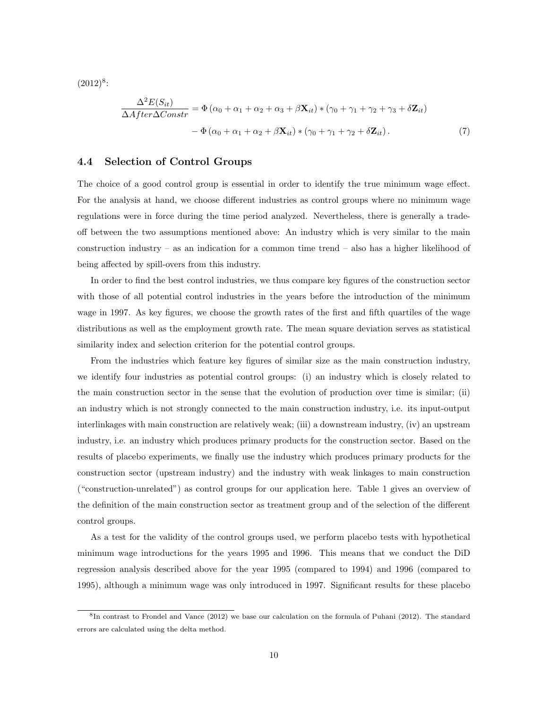$(2012)^{8}$ :

$$
\frac{\Delta^2 E(S_{it})}{\Delta After \Delta Constr} = \Phi (\alpha_0 + \alpha_1 + \alpha_2 + \alpha_3 + \beta \mathbf{X}_{it}) * (\gamma_0 + \gamma_1 + \gamma_2 + \gamma_3 + \delta \mathbf{Z}_{it})
$$

$$
- \Phi (\alpha_0 + \alpha_1 + \alpha_2 + \beta \mathbf{X}_{it}) * (\gamma_0 + \gamma_1 + \gamma_2 + \delta \mathbf{Z}_{it}). \tag{7}
$$

#### 4.4 Selection of Control Groups

The choice of a good control group is essential in order to identify the true minimum wage effect. For the analysis at hand, we choose different industries as control groups where no minimum wage regulations were in force during the time period analyzed. Nevertheless, there is generally a tradeoff between the two assumptions mentioned above: An industry which is very similar to the main construction industry – as an indication for a common time trend – also has a higher likelihood of being affected by spill-overs from this industry.

In order to find the best control industries, we thus compare key figures of the construction sector with those of all potential control industries in the years before the introduction of the minimum wage in 1997. As key figures, we choose the growth rates of the first and fifth quartiles of the wage distributions as well as the employment growth rate. The mean square deviation serves as statistical similarity index and selection criterion for the potential control groups.

From the industries which feature key figures of similar size as the main construction industry, we identify four industries as potential control groups: (i) an industry which is closely related to the main construction sector in the sense that the evolution of production over time is similar; (ii) an industry which is not strongly connected to the main construction industry, i.e. its input-output interlinkages with main construction are relatively weak; (iii) a downstream industry, (iv) an upstream industry, i.e. an industry which produces primary products for the construction sector. Based on the results of placebo experiments, we finally use the industry which produces primary products for the construction sector (upstream industry) and the industry with weak linkages to main construction ("construction-unrelated") as control groups for our application here. Table 1 gives an overview of the definition of the main construction sector as treatment group and of the selection of the different control groups.

As a test for the validity of the control groups used, we perform placebo tests with hypothetical minimum wage introductions for the years 1995 and 1996. This means that we conduct the DiD regression analysis described above for the year 1995 (compared to 1994) and 1996 (compared to 1995), although a minimum wage was only introduced in 1997. Significant results for these placebo

<sup>&</sup>lt;sup>8</sup>In contrast to Frondel and Vance (2012) we base our calculation on the formula of Puhani (2012). The standard errors are calculated using the delta method.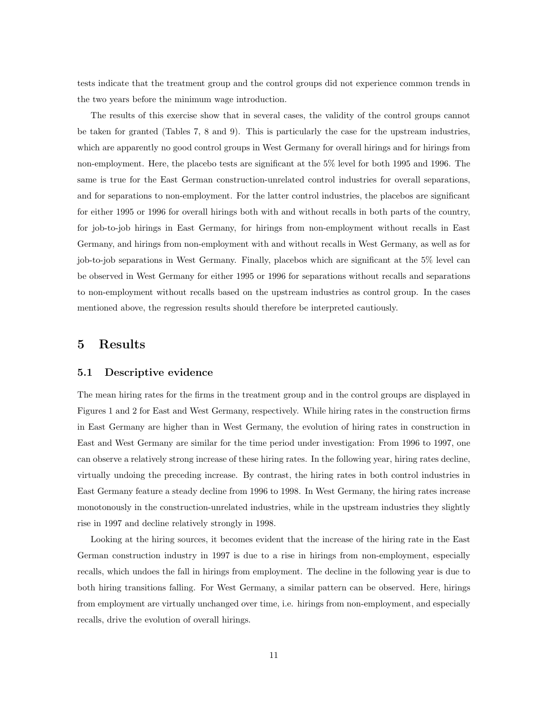tests indicate that the treatment group and the control groups did not experience common trends in the two years before the minimum wage introduction.

The results of this exercise show that in several cases, the validity of the control groups cannot be taken for granted (Tables 7, 8 and 9). This is particularly the case for the upstream industries, which are apparently no good control groups in West Germany for overall hirings and for hirings from non-employment. Here, the placebo tests are significant at the 5% level for both 1995 and 1996. The same is true for the East German construction-unrelated control industries for overall separations, and for separations to non-employment. For the latter control industries, the placebos are significant for either 1995 or 1996 for overall hirings both with and without recalls in both parts of the country, for job-to-job hirings in East Germany, for hirings from non-employment without recalls in East Germany, and hirings from non-employment with and without recalls in West Germany, as well as for job-to-job separations in West Germany. Finally, placebos which are significant at the 5% level can be observed in West Germany for either 1995 or 1996 for separations without recalls and separations to non-employment without recalls based on the upstream industries as control group. In the cases mentioned above, the regression results should therefore be interpreted cautiously.

## 5 Results

#### 5.1 Descriptive evidence

The mean hiring rates for the firms in the treatment group and in the control groups are displayed in Figures 1 and 2 for East and West Germany, respectively. While hiring rates in the construction firms in East Germany are higher than in West Germany, the evolution of hiring rates in construction in East and West Germany are similar for the time period under investigation: From 1996 to 1997, one can observe a relatively strong increase of these hiring rates. In the following year, hiring rates decline, virtually undoing the preceding increase. By contrast, the hiring rates in both control industries in East Germany feature a steady decline from 1996 to 1998. In West Germany, the hiring rates increase monotonously in the construction-unrelated industries, while in the upstream industries they slightly rise in 1997 and decline relatively strongly in 1998.

Looking at the hiring sources, it becomes evident that the increase of the hiring rate in the East German construction industry in 1997 is due to a rise in hirings from non-employment, especially recalls, which undoes the fall in hirings from employment. The decline in the following year is due to both hiring transitions falling. For West Germany, a similar pattern can be observed. Here, hirings from employment are virtually unchanged over time, i.e. hirings from non-employment, and especially recalls, drive the evolution of overall hirings.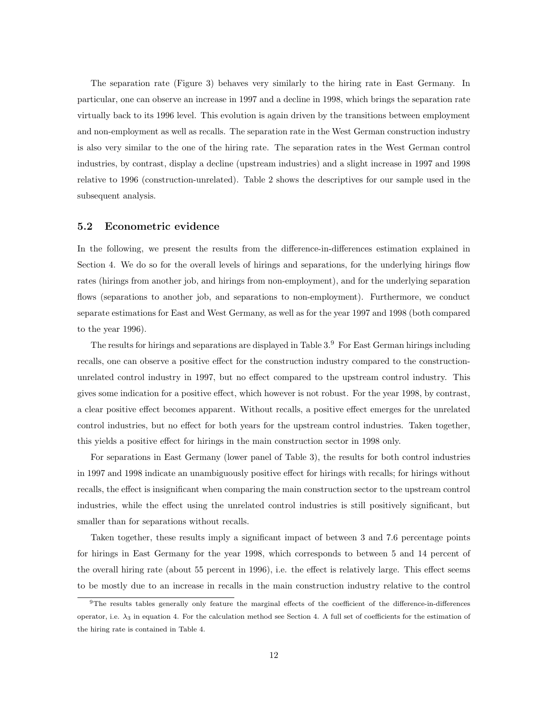The separation rate (Figure 3) behaves very similarly to the hiring rate in East Germany. In particular, one can observe an increase in 1997 and a decline in 1998, which brings the separation rate virtually back to its 1996 level. This evolution is again driven by the transitions between employment and non-employment as well as recalls. The separation rate in the West German construction industry is also very similar to the one of the hiring rate. The separation rates in the West German control industries, by contrast, display a decline (upstream industries) and a slight increase in 1997 and 1998 relative to 1996 (construction-unrelated). Table 2 shows the descriptives for our sample used in the subsequent analysis.

#### 5.2 Econometric evidence

In the following, we present the results from the difference-in-differences estimation explained in Section 4. We do so for the overall levels of hirings and separations, for the underlying hirings flow rates (hirings from another job, and hirings from non-employment), and for the underlying separation flows (separations to another job, and separations to non-employment). Furthermore, we conduct separate estimations for East and West Germany, as well as for the year 1997 and 1998 (both compared to the year 1996).

The results for hirings and separations are displayed in Table 3.<sup>9</sup> For East German hirings including recalls, one can observe a positive effect for the construction industry compared to the constructionunrelated control industry in 1997, but no effect compared to the upstream control industry. This gives some indication for a positive effect, which however is not robust. For the year 1998, by contrast, a clear positive effect becomes apparent. Without recalls, a positive effect emerges for the unrelated control industries, but no effect for both years for the upstream control industries. Taken together, this yields a positive effect for hirings in the main construction sector in 1998 only.

For separations in East Germany (lower panel of Table 3), the results for both control industries in 1997 and 1998 indicate an unambiguously positive effect for hirings with recalls; for hirings without recalls, the effect is insignificant when comparing the main construction sector to the upstream control industries, while the effect using the unrelated control industries is still positively significant, but smaller than for separations without recalls.

Taken together, these results imply a significant impact of between 3 and 7.6 percentage points for hirings in East Germany for the year 1998, which corresponds to between 5 and 14 percent of the overall hiring rate (about 55 percent in 1996), i.e. the effect is relatively large. This effect seems to be mostly due to an increase in recalls in the main construction industry relative to the control

<sup>9</sup>The results tables generally only feature the marginal effects of the coefficient of the difference-in-differences operator, i.e.  $\lambda_3$  in equation 4. For the calculation method see Section 4. A full set of coefficients for the estimation of the hiring rate is contained in Table 4.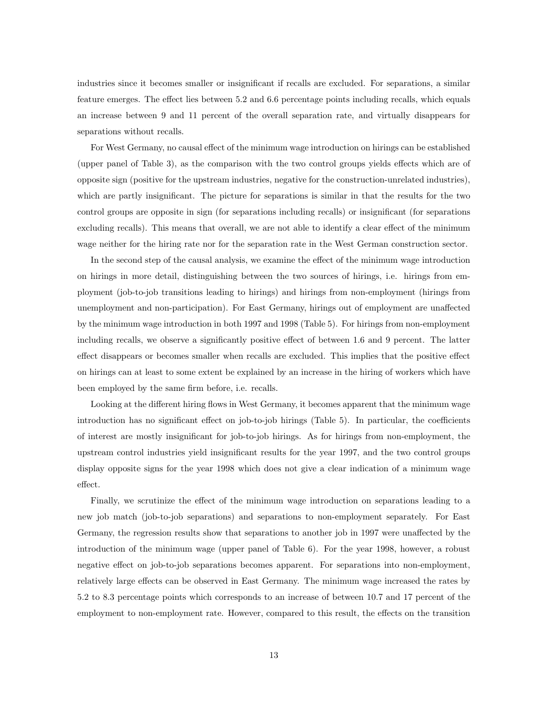industries since it becomes smaller or insignificant if recalls are excluded. For separations, a similar feature emerges. The effect lies between 5.2 and 6.6 percentage points including recalls, which equals an increase between 9 and 11 percent of the overall separation rate, and virtually disappears for separations without recalls.

For West Germany, no causal effect of the minimum wage introduction on hirings can be established (upper panel of Table 3), as the comparison with the two control groups yields effects which are of opposite sign (positive for the upstream industries, negative for the construction-unrelated industries), which are partly insignificant. The picture for separations is similar in that the results for the two control groups are opposite in sign (for separations including recalls) or insignificant (for separations excluding recalls). This means that overall, we are not able to identify a clear effect of the minimum wage neither for the hiring rate nor for the separation rate in the West German construction sector.

In the second step of the causal analysis, we examine the effect of the minimum wage introduction on hirings in more detail, distinguishing between the two sources of hirings, i.e. hirings from employment (job-to-job transitions leading to hirings) and hirings from non-employment (hirings from unemployment and non-participation). For East Germany, hirings out of employment are unaffected by the minimum wage introduction in both 1997 and 1998 (Table 5). For hirings from non-employment including recalls, we observe a significantly positive effect of between 1.6 and 9 percent. The latter effect disappears or becomes smaller when recalls are excluded. This implies that the positive effect on hirings can at least to some extent be explained by an increase in the hiring of workers which have been employed by the same firm before, i.e. recalls.

Looking at the different hiring flows in West Germany, it becomes apparent that the minimum wage introduction has no significant effect on job-to-job hirings (Table 5). In particular, the coefficients of interest are mostly insignificant for job-to-job hirings. As for hirings from non-employment, the upstream control industries yield insignificant results for the year 1997, and the two control groups display opposite signs for the year 1998 which does not give a clear indication of a minimum wage effect.

Finally, we scrutinize the effect of the minimum wage introduction on separations leading to a new job match (job-to-job separations) and separations to non-employment separately. For East Germany, the regression results show that separations to another job in 1997 were unaffected by the introduction of the minimum wage (upper panel of Table 6). For the year 1998, however, a robust negative effect on job-to-job separations becomes apparent. For separations into non-employment, relatively large effects can be observed in East Germany. The minimum wage increased the rates by 5.2 to 8.3 percentage points which corresponds to an increase of between 10.7 and 17 percent of the employment to non-employment rate. However, compared to this result, the effects on the transition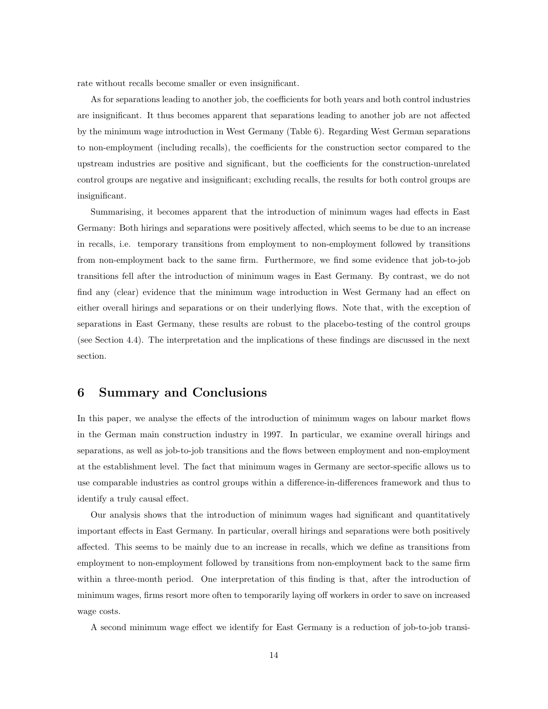rate without recalls become smaller or even insignificant.

As for separations leading to another job, the coefficients for both years and both control industries are insignificant. It thus becomes apparent that separations leading to another job are not affected by the minimum wage introduction in West Germany (Table 6). Regarding West German separations to non-employment (including recalls), the coefficients for the construction sector compared to the upstream industries are positive and significant, but the coefficients for the construction-unrelated control groups are negative and insignificant; excluding recalls, the results for both control groups are insignificant.

Summarising, it becomes apparent that the introduction of minimum wages had effects in East Germany: Both hirings and separations were positively affected, which seems to be due to an increase in recalls, i.e. temporary transitions from employment to non-employment followed by transitions from non-employment back to the same firm. Furthermore, we find some evidence that job-to-job transitions fell after the introduction of minimum wages in East Germany. By contrast, we do not find any (clear) evidence that the minimum wage introduction in West Germany had an effect on either overall hirings and separations or on their underlying flows. Note that, with the exception of separations in East Germany, these results are robust to the placebo-testing of the control groups (see Section 4.4). The interpretation and the implications of these findings are discussed in the next section.

### 6 Summary and Conclusions

In this paper, we analyse the effects of the introduction of minimum wages on labour market flows in the German main construction industry in 1997. In particular, we examine overall hirings and separations, as well as job-to-job transitions and the flows between employment and non-employment at the establishment level. The fact that minimum wages in Germany are sector-specific allows us to use comparable industries as control groups within a difference-in-differences framework and thus to identify a truly causal effect.

Our analysis shows that the introduction of minimum wages had significant and quantitatively important effects in East Germany. In particular, overall hirings and separations were both positively affected. This seems to be mainly due to an increase in recalls, which we define as transitions from employment to non-employment followed by transitions from non-employment back to the same firm within a three-month period. One interpretation of this finding is that, after the introduction of minimum wages, firms resort more often to temporarily laying off workers in order to save on increased wage costs.

A second minimum wage effect we identify for East Germany is a reduction of job-to-job transi-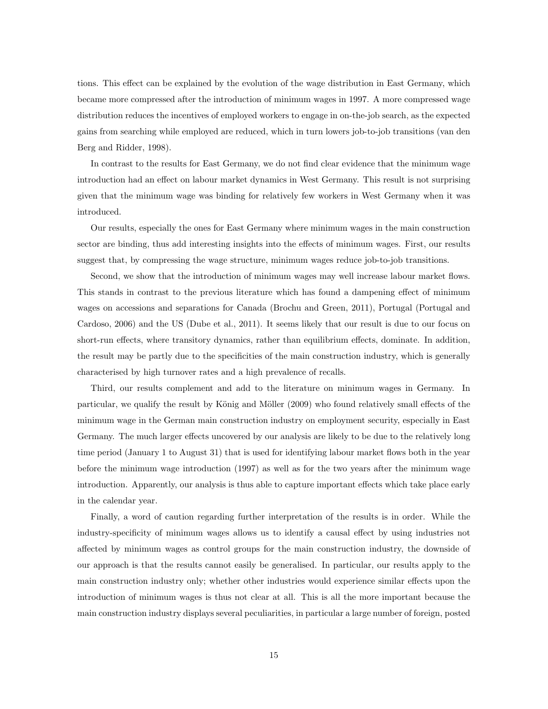tions. This effect can be explained by the evolution of the wage distribution in East Germany, which became more compressed after the introduction of minimum wages in 1997. A more compressed wage distribution reduces the incentives of employed workers to engage in on-the-job search, as the expected gains from searching while employed are reduced, which in turn lowers job-to-job transitions (van den Berg and Ridder, 1998).

In contrast to the results for East Germany, we do not find clear evidence that the minimum wage introduction had an effect on labour market dynamics in West Germany. This result is not surprising given that the minimum wage was binding for relatively few workers in West Germany when it was introduced.

Our results, especially the ones for East Germany where minimum wages in the main construction sector are binding, thus add interesting insights into the effects of minimum wages. First, our results suggest that, by compressing the wage structure, minimum wages reduce job-to-job transitions.

Second, we show that the introduction of minimum wages may well increase labour market flows. This stands in contrast to the previous literature which has found a dampening effect of minimum wages on accessions and separations for Canada (Brochu and Green, 2011), Portugal (Portugal and Cardoso, 2006) and the US (Dube et al., 2011). It seems likely that our result is due to our focus on short-run effects, where transitory dynamics, rather than equilibrium effects, dominate. In addition, the result may be partly due to the specificities of the main construction industry, which is generally characterised by high turnover rates and a high prevalence of recalls.

Third, our results complement and add to the literature on minimum wages in Germany. In particular, we qualify the result by König and Möller (2009) who found relatively small effects of the minimum wage in the German main construction industry on employment security, especially in East Germany. The much larger effects uncovered by our analysis are likely to be due to the relatively long time period (January 1 to August 31) that is used for identifying labour market flows both in the year before the minimum wage introduction (1997) as well as for the two years after the minimum wage introduction. Apparently, our analysis is thus able to capture important effects which take place early in the calendar year.

Finally, a word of caution regarding further interpretation of the results is in order. While the industry-specificity of minimum wages allows us to identify a causal effect by using industries not affected by minimum wages as control groups for the main construction industry, the downside of our approach is that the results cannot easily be generalised. In particular, our results apply to the main construction industry only; whether other industries would experience similar effects upon the introduction of minimum wages is thus not clear at all. This is all the more important because the main construction industry displays several peculiarities, in particular a large number of foreign, posted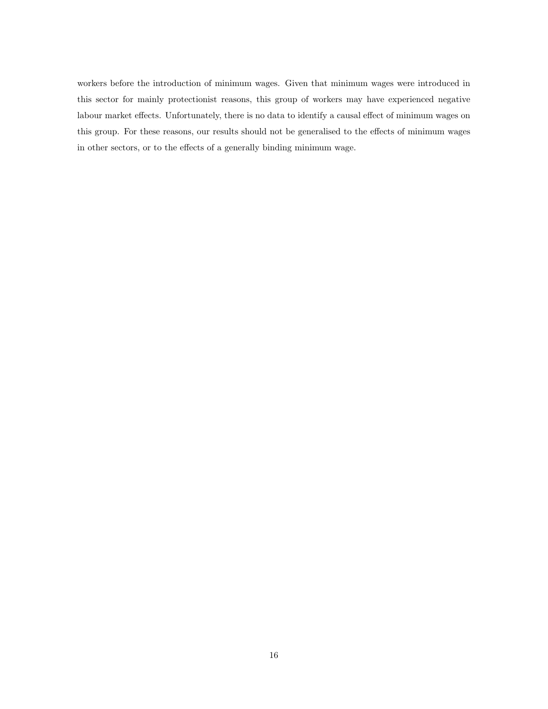workers before the introduction of minimum wages. Given that minimum wages were introduced in this sector for mainly protectionist reasons, this group of workers may have experienced negative labour market effects. Unfortunately, there is no data to identify a causal effect of minimum wages on this group. For these reasons, our results should not be generalised to the effects of minimum wages in other sectors, or to the effects of a generally binding minimum wage.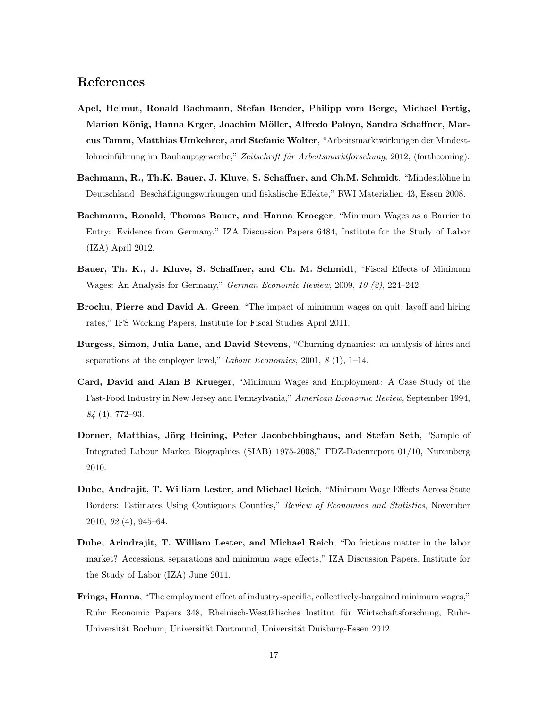### References

- Apel, Helmut, Ronald Bachmann, Stefan Bender, Philipp vom Berge, Michael Fertig, Marion König, Hanna Krger, Joachim Möller, Alfredo Paloyo, Sandra Schaffner, Marcus Tamm, Matthias Umkehrer, and Stefanie Wolter, "Arbeitsmarktwirkungen der Mindestlohneinführung im Bauhauptgewerbe," Zeitschrift für Arbeitsmarktforschung, 2012, (forthcoming).
- Bachmann, R., Th.K. Bauer, J. Kluve, S. Schaffner, and Ch.M. Schmidt, "Mindestlöhne in Deutschland Beschäftigungswirkungen und fiskalische Effekte," RWI Materialien 43, Essen 2008.
- Bachmann, Ronald, Thomas Bauer, and Hanna Kroeger, "Minimum Wages as a Barrier to Entry: Evidence from Germany," IZA Discussion Papers 6484, Institute for the Study of Labor (IZA) April 2012.
- Bauer, Th. K., J. Kluve, S. Schaffner, and Ch. M. Schmidt, "Fiscal Effects of Minimum Wages: An Analysis for Germany," German Economic Review, 2009, 10 (2), 224–242.
- Brochu, Pierre and David A. Green, "The impact of minimum wages on quit, layoff and hiring rates," IFS Working Papers, Institute for Fiscal Studies April 2011.
- Burgess, Simon, Julia Lane, and David Stevens, "Churning dynamics: an analysis of hires and separations at the employer level," Labour Economics, 2001,  $8(1)$ , 1–14.
- Card, David and Alan B Krueger, "Minimum Wages and Employment: A Case Study of the Fast-Food Industry in New Jersey and Pennsylvania," American Economic Review, September 1994, 84 (4), 772–93.
- Dorner, Matthias, Jörg Heining, Peter Jacobebbinghaus, and Stefan Seth, "Sample of Integrated Labour Market Biographies (SIAB) 1975-2008," FDZ-Datenreport 01/10, Nuremberg 2010.
- Dube, Andrajit, T. William Lester, and Michael Reich, "Minimum Wage Effects Across State Borders: Estimates Using Contiguous Counties," Review of Economics and Statistics, November 2010, 92 (4), 945–64.
- Dube, Arindrajit, T. William Lester, and Michael Reich, "Do frictions matter in the labor market? Accessions, separations and minimum wage effects," IZA Discussion Papers, Institute for the Study of Labor (IZA) June 2011.
- Frings, Hanna, "The employment effect of industry-specific, collectively-bargained minimum wages," Ruhr Economic Papers 348, Rheinisch-Westfälisches Institut für Wirtschaftsforschung, Ruhr-Universität Bochum, Universität Dortmund, Universität Duisburg-Essen 2012.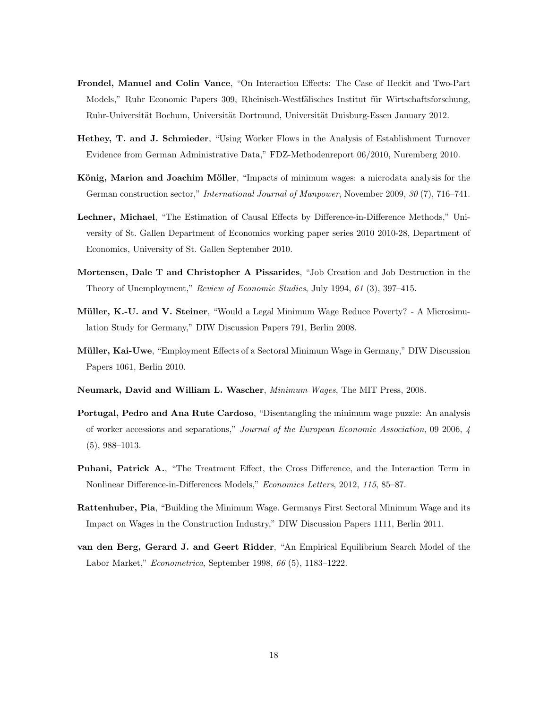- Frondel, Manuel and Colin Vance, "On Interaction Effects: The Case of Heckit and Two-Part Models," Ruhr Economic Papers 309, Rheinisch-Westfälisches Institut für Wirtschaftsforschung, Ruhr-Universität Bochum, Universität Dortmund, Universität Duisburg-Essen January 2012.
- Hethey, T. and J. Schmieder, "Using Worker Flows in the Analysis of Establishment Turnover Evidence from German Administrative Data," FDZ-Methodenreport 06/2010, Nuremberg 2010.
- König, Marion and Joachim Möller, "Impacts of minimum wages: a microdata analysis for the German construction sector," International Journal of Manpower, November 2009, 30 (7), 716–741.
- Lechner, Michael, "The Estimation of Causal Effects by Difference-in-Difference Methods," University of St. Gallen Department of Economics working paper series 2010 2010-28, Department of Economics, University of St. Gallen September 2010.
- Mortensen, Dale T and Christopher A Pissarides, "Job Creation and Job Destruction in the Theory of Unemployment," Review of Economic Studies, July 1994, 61 (3), 397–415.
- Müller, K.-U. and V. Steiner, "Would a Legal Minimum Wage Reduce Poverty? A Microsimulation Study for Germany," DIW Discussion Papers 791, Berlin 2008.
- Müller, Kai-Uwe, "Employment Effects of a Sectoral Minimum Wage in Germany," DIW Discussion Papers 1061, Berlin 2010.
- Neumark, David and William L. Wascher, Minimum Wages, The MIT Press, 2008.
- Portugal, Pedro and Ana Rute Cardoso, "Disentangling the minimum wage puzzle: An analysis of worker accessions and separations," Journal of the European Economic Association, 09 2006, 4 (5), 988–1013.
- Puhani, Patrick A., "The Treatment Effect, the Cross Difference, and the Interaction Term in Nonlinear Difference-in-Differences Models," Economics Letters, 2012, 115, 85–87.
- Rattenhuber, Pia, "Building the Minimum Wage. Germanys First Sectoral Minimum Wage and its Impact on Wages in the Construction Industry," DIW Discussion Papers 1111, Berlin 2011.
- van den Berg, Gerard J. and Geert Ridder, "An Empirical Equilibrium Search Model of the Labor Market," Econometrica, September 1998, 66 (5), 1183–1222.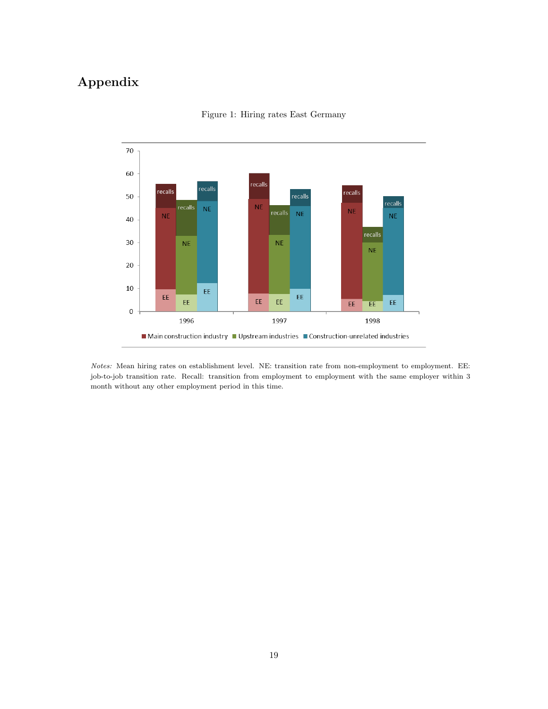## Appendix



Figure 1: Hiring rates East Germany

Notes: Mean hiring rates on establishment level. NE: transition rate from non-employment to employment. EE: job-to-job transition rate. Recall: transition from employment to employment with the same employer within 3 month without any other employment period in this time.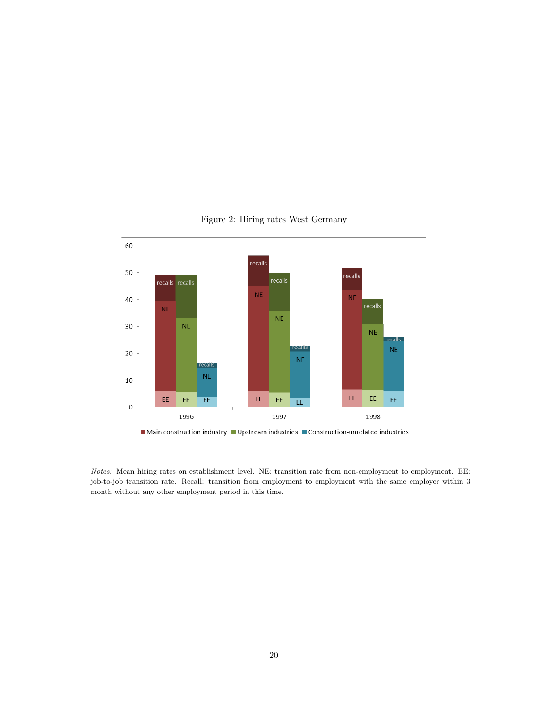

Figure 2: Hiring rates West Germany

Notes: Mean hiring rates on establishment level. NE: transition rate from non-employment to employment. EE: job-to-job transition rate. Recall: transition from employment to employment with the same employer within 3 month without any other employment period in this time.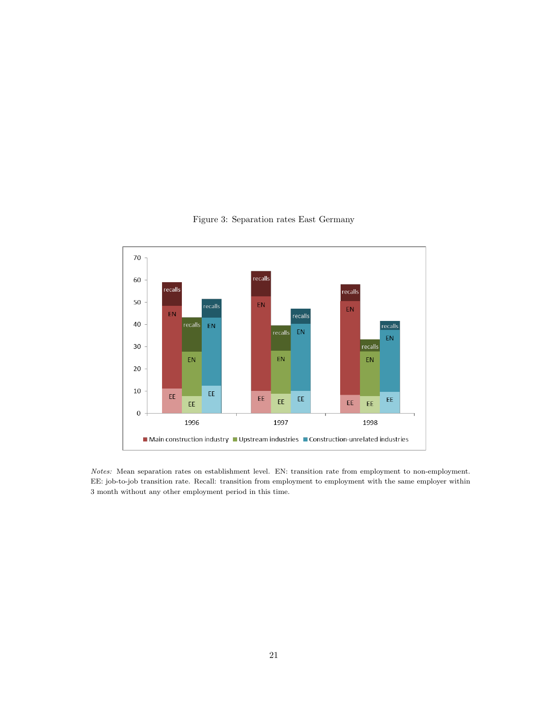

Figure 3: Separation rates East Germany

 $Notes: \, Mean \, separation \, rates \, on \, establishment \, level. \, EN: transition \, rate \, from \, employment \, to \, non-employment.$ EE: job-to-job transition rate. Recall: transition from employment to employment with the same employer within 3 month without any other employment period in this time.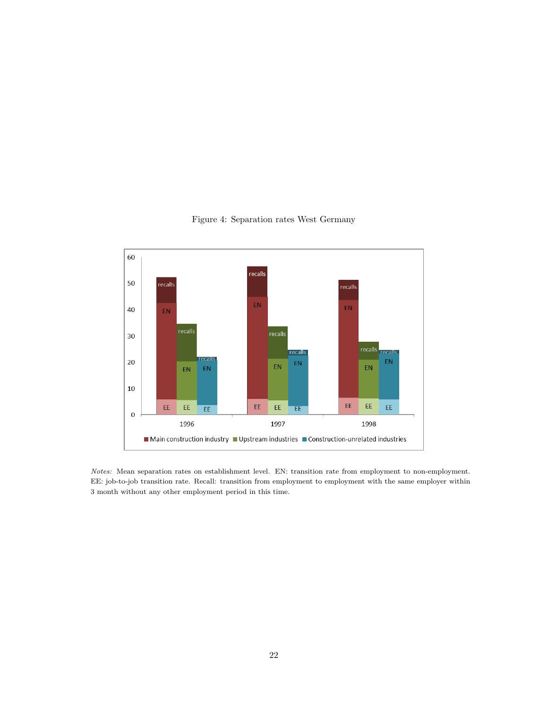

Figure 4: Separation rates West Germany

Notes: Mean separation rates on establishment level. EN: transition rate from employment to non-employment. EE: job-to-job transition rate. Recall: transition from employment to employment with the same employer within 3 month without any other employment period in this time.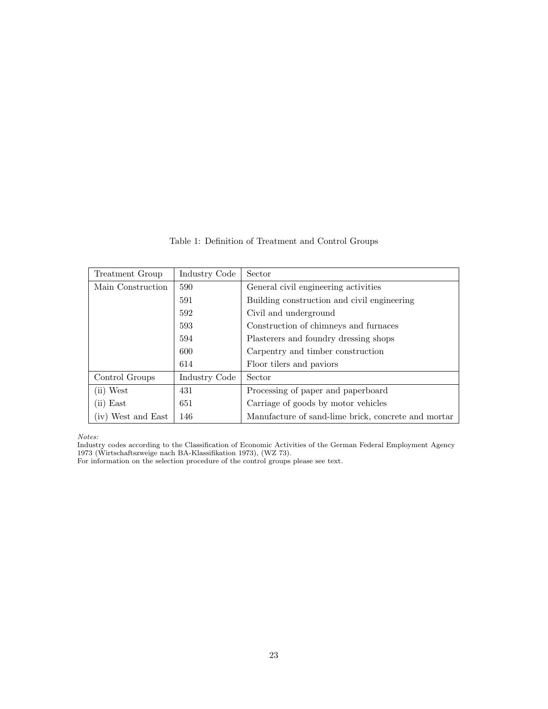| Treatment Group    | Industry Code | Sector                                              |
|--------------------|---------------|-----------------------------------------------------|
| Main Construction  | 590           | General civil engineering activities                |
|                    | 591           | Building construction and civil engineering         |
|                    | 592           | Civil and underground                               |
|                    | 593           | Construction of chimneys and furnaces               |
|                    | 594           | Plasterers and foundry dressing shops               |
|                    | 600           | Carpentry and timber construction                   |
|                    | 614           | Floor tilers and paviors                            |
| Control Groups     | Industry Code | Sector                                              |
| (ii) West          | 431           | Processing of paper and paperboard                  |
| (ii) East          | 651           | Carriage of goods by motor vehicles                 |
| (iv) West and East | 146           | Manufacture of sand-lime brick, concrete and mortar |

Table 1: Definition of Treatment and Control Groups

Notes:

Industry codes according to the Classification of Economic Activities of the German Federal Employment Agency 1973 (Wirtschaftszweige nach BA-Klassifikation 1973), (WZ 73). ¨

For information on the selection procedure of the control groups please see text.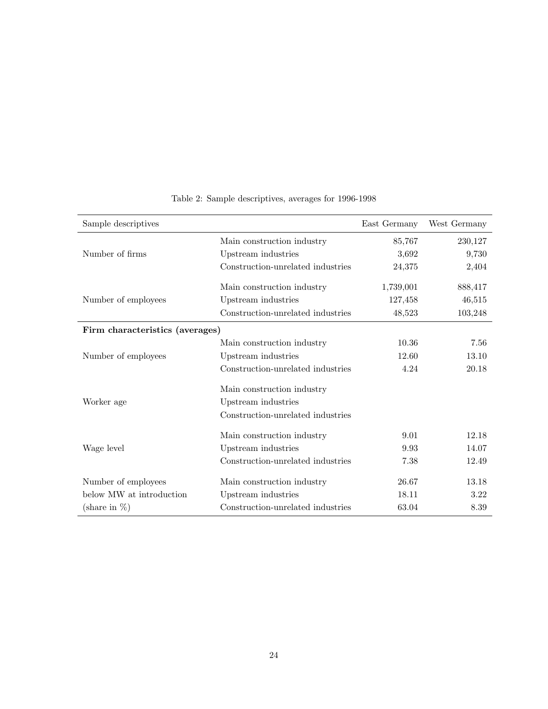| Sample descriptives             |                                   | East Germany | West Germany |
|---------------------------------|-----------------------------------|--------------|--------------|
|                                 | Main construction industry        | 85,767       | 230,127      |
| Number of firms                 | Upstream industries               | 3,692        | 9,730        |
|                                 | Construction-unrelated industries | 24,375       | 2,404        |
|                                 | Main construction industry        | 1,739,001    | 888,417      |
| Number of employees             | Upstream industries               | 127,458      | 46,515       |
|                                 | Construction-unrelated industries | 48,523       | 103,248      |
| Firm characteristics (averages) |                                   |              |              |
|                                 | Main construction industry        | 10.36        | 7.56         |
| Number of employees             | Upstream industries               | 12.60        | 13.10        |
|                                 | Construction-unrelated industries | 4.24         | 20.18        |
|                                 | Main construction industry        |              |              |
| Worker age                      | Upstream industries               |              |              |
|                                 | Construction-unrelated industries |              |              |
|                                 | Main construction industry        | 9.01         | 12.18        |
| Wage level                      | Upstream industries               | 9.93         | 14.07        |
|                                 | Construction-unrelated industries | 7.38         | 12.49        |
| Number of employees             | Main construction industry        | 26.67        | 13.18        |
| below MW at introduction        | Upstream industries               | 18.11        | 3.22         |
| (share in $\%$ )                | Construction-unrelated industries | 63.04        | 8.39         |

## Table 2: Sample descriptives, averages for 1996-1998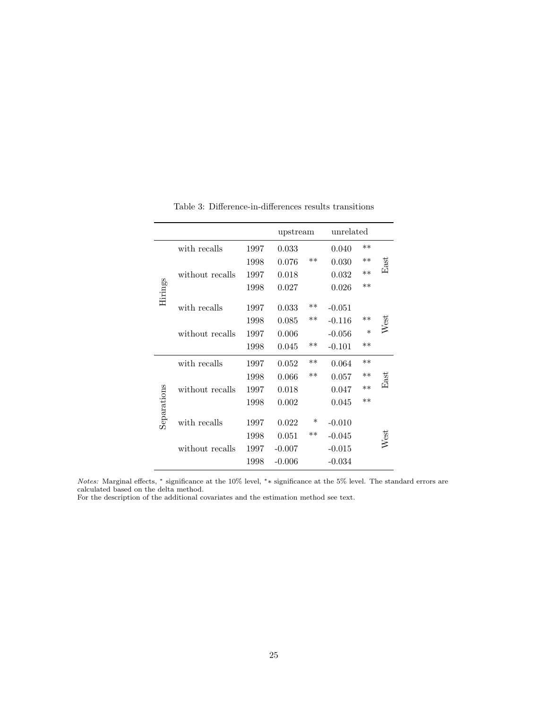|             |                 |      | upstream |       | unrelated |        |      |
|-------------|-----------------|------|----------|-------|-----------|--------|------|
|             | with recalls    | 1997 | 0.033    |       | 0.040     | $**$   |      |
|             |                 | 1998 | 0.076    | **    | 0.030     | $**$   | East |
|             | without recalls | 1997 | 0.018    |       | 0.032     | $**$   |      |
| Hirings     |                 | 1998 | 0.027    |       | 0.026     | $**$   |      |
|             | with recalls    | 1997 | 0.033    | $***$ | $-0.051$  |        |      |
|             |                 | 1998 | 0.085    | $**$  | $-0.116$  | $**$   | West |
|             | without recalls | 1997 | 0.006    |       | $-0.056$  | $\ast$ |      |
|             |                 | 1998 | 0.045    | **    | $-0.101$  | $**$   |      |
|             | with recalls    | 1997 | 0.052    | $***$ | 0.064     | $**$   |      |
|             |                 | 1998 | 0.066    | $**$  | 0.057     | $**$   | East |
|             | without recalls | 1997 | 0.018    |       | 0.047     | $**$   |      |
|             |                 | 1998 | 0.002    |       | 0.045     | $**$   |      |
| Separations | with recalls    | 1997 | 0.022    | ∗     | $-0.010$  |        |      |
|             |                 | 1998 | 0.051    | $***$ | $-0.045$  |        | West |
|             | without recalls | 1997 | $-0.007$ |       | $-0.015$  |        |      |
|             |                 | 1998 | $-0.006$ |       | $-0.034$  |        |      |

Table 3: Difference-in-differences results transitions

Notes: Marginal effects, <sup>∗</sup> significance at the 10% level, <sup>∗</sup>∗ significance at the 5% level. The standard errors are calculated based on the delta method.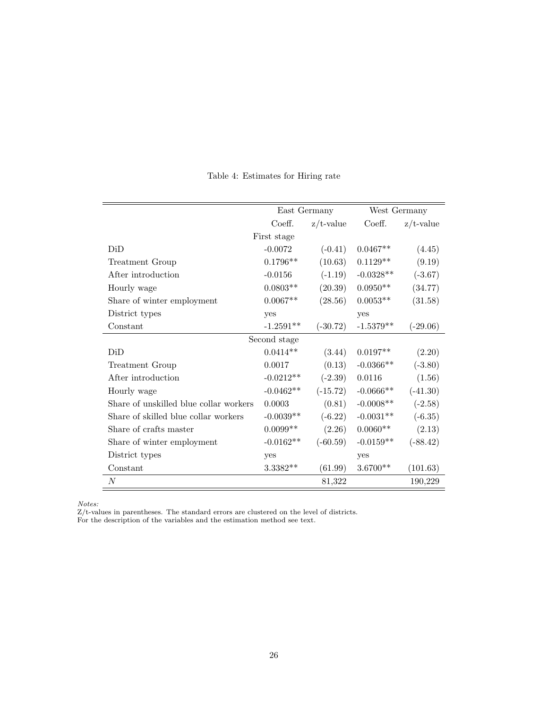|                                        | East Germany |              |             | West Germany |  |
|----------------------------------------|--------------|--------------|-------------|--------------|--|
|                                        | Coeff.       | $z/t$ -value | Coeff.      | $z/t$ -value |  |
|                                        | First stage  |              |             |              |  |
| DiD                                    | $-0.0072$    | $(-0.41)$    | $0.0467**$  | (4.45)       |  |
| Treatment Group                        | $0.1796**$   | (10.63)      | $0.1129**$  | (9.19)       |  |
| After introduction                     | $-0.0156$    | $(-1.19)$    | $-0.0328**$ | $(-3.67)$    |  |
| Hourly wage                            | $0.0803**$   | (20.39)      | $0.0950**$  | (34.77)      |  |
| Share of winter employment             | $0.0067**$   | (28.56)      | $0.0053**$  | (31.58)      |  |
| District types                         | yes          |              | yes         |              |  |
| Constant                               | $-1.2591**$  | $(-30.72)$   | $-1.5379**$ | $(-29.06)$   |  |
|                                        | Second stage |              |             |              |  |
| DiD                                    | $0.0414**$   | (3.44)       | $0.0197**$  | (2.20)       |  |
| Treatment Group                        | 0.0017       | (0.13)       | $-0.0366**$ | $(-3.80)$    |  |
| After introduction                     | $-0.0212**$  | $(-2.39)$    | 0.0116      | (1.56)       |  |
| Hourly wage                            | $-0.0462**$  | $(-15.72)$   | $-0.0666**$ | $(-41.30)$   |  |
| Share of unskilled blue collar workers | 0.0003       | (0.81)       | $-0.0008**$ | $(-2.58)$    |  |
| Share of skilled blue collar workers   | $-0.0039**$  | $(-6.22)$    | $-0.0031**$ | $(-6.35)$    |  |
| Share of crafts master                 | $0.0099**$   | (2.26)       | $0.0060**$  | (2.13)       |  |
| Share of winter employment             | $-0.0162**$  | $(-60.59)$   | $-0.0159**$ | $(-88.42)$   |  |
| District types                         | yes          |              | yes         |              |  |
| Constant                               | $3.3382**$   | (61.99)      | $3.6700**$  | (101.63)     |  |
| N                                      |              | 81,322       |             | 190,229      |  |

Table 4: Estimates for Hiring rate

Notes:

Z/t-values in parentheses. The standard errors are clustered on the level of districts.

For the description of the variables and the estimation method see text.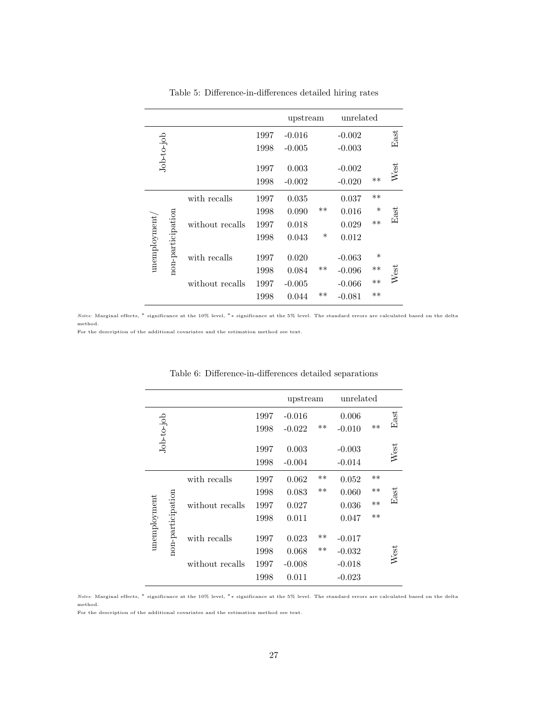|              |                   |                 |      | upstream |        | unrelated |        |            |
|--------------|-------------------|-----------------|------|----------|--------|-----------|--------|------------|
|              |                   |                 | 1997 | $-0.016$ |        | $-0.002$  |        | $\rm East$ |
|              |                   |                 | 1998 | $-0.005$ |        | $-0.003$  |        |            |
| Job-to-job   |                   |                 | 1997 | 0.003    |        | $-0.002$  |        | West       |
|              |                   |                 | 1998 | $-0.002$ |        | $-0.020$  | $**$   |            |
|              |                   | with recalls    | 1997 | 0.035    |        | 0.037     | $**$   |            |
|              |                   |                 | 1998 | 0.090    | $***$  | 0.016     | $\ast$ | East       |
|              |                   | without recalls | 1997 | 0.018    |        | 0.029     | $**$   |            |
|              |                   |                 | 1998 | 0.043    | $\ast$ | 0.012     |        |            |
| unemployment | non-participation | with recalls    | 1997 | 0.020    |        | $-0.063$  | $\ast$ |            |
|              |                   |                 | 1998 | 0.084    | $***$  | $-0.096$  | $**$   | West       |
|              |                   | without recalls | 1997 | $-0.005$ |        | $-0.066$  | $**$   |            |
|              |                   |                 | 1998 | 0.044    | $***$  | $-0.081$  | $**$   |            |

Table 5: Difference-in-differences detailed hiring rates

Notes: Marginal effects, ∗ significance at the 10% level, ∗∗ significance at the 5% level. The standard errors are calculated based on the delta method.

For the description of the additional covariates and the estimation method see text.

| East                                  |
|---------------------------------------|
|                                       |
| West                                  |
|                                       |
|                                       |
| East                                  |
|                                       |
|                                       |
|                                       |
|                                       |
| West                                  |
|                                       |
|                                       |
| $**$<br>$**$<br>$***$<br>$**$<br>$**$ |

#### Table 6: Difference-in-differences detailed separations

Notes: Marginal effects, ∗ significance at the 10% level, ∗∗ significance at the 5% level. The standard errors are calculated based on the delta method.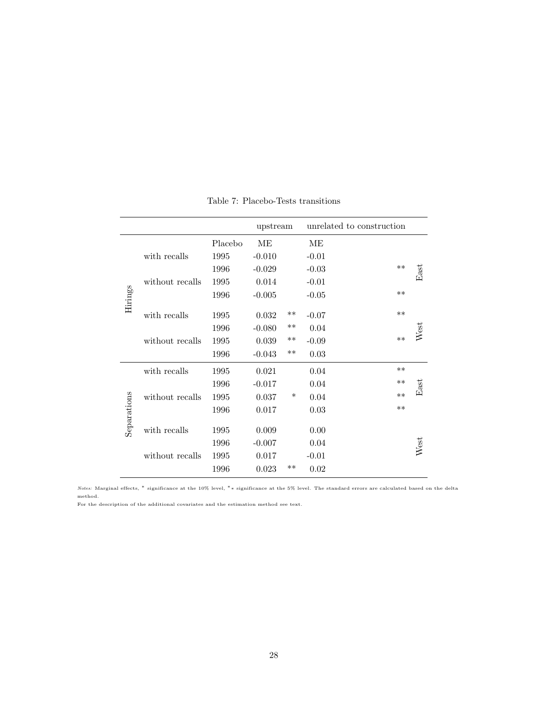|             |                 |         | upstream |        |         | unrelated to construction |      |
|-------------|-----------------|---------|----------|--------|---------|---------------------------|------|
|             |                 | Placebo | MЕ       |        | MЕ      |                           |      |
|             | with recalls    | 1995    | $-0.010$ |        | $-0.01$ |                           |      |
|             |                 | 1996    | $-0.029$ |        | $-0.03$ | $**$                      | East |
|             | without recalls | 1995    | 0.014    |        | $-0.01$ |                           |      |
|             |                 | 1996    | $-0.005$ |        | $-0.05$ | $**$                      |      |
| Hirings     | with recalls    | 1995    | 0.032    | $***$  | $-0.07$ | $**$                      |      |
|             |                 | 1996    | $-0.080$ | $***$  | 0.04    |                           | West |
|             | without recalls | 1995    | 0.039    | $**$   | $-0.09$ | $**$                      |      |
|             |                 | 1996    | $-0.043$ | $***$  | 0.03    |                           |      |
|             | with recalls    | 1995    | 0.021    |        | 0.04    | $***$                     |      |
|             |                 | 1996    | $-0.017$ |        | 0.04    | $***$                     | East |
|             | without recalls | 1995    | 0.037    | $\ast$ | 0.04    | $**$                      |      |
| Separations |                 | 1996    | 0.017    |        | 0.03    | $**$                      |      |
|             |                 |         |          |        |         |                           |      |
|             | with recalls    | 1995    | 0.009    |        | 0.00    |                           |      |
|             |                 | 1996    | $-0.007$ |        | 0.04    |                           | West |
|             | without recalls | 1995    | 0.017    |        | $-0.01$ |                           |      |
|             |                 | 1996    | 0.023    | $**$   | 0.02    |                           |      |

Table 7: Placebo-Tests transitions

Notes: Marginal effects, ∗ significance at the 10% level, ∗∗ significance at the 5% level. The standard errors are calculated based on the delta method.